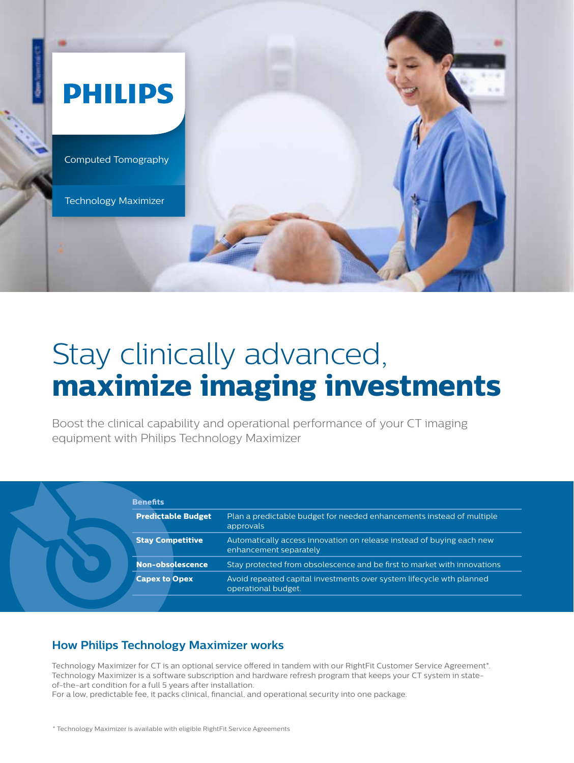

# Stay clinically advanced, **maximize imaging investments**

Boost the clinical capability and operational performance of your CT imaging equipment with Philips Technology Maximizer

| <b>Predictable Budget</b> | Plan a predictable budget for needed enhancements instead of multiple<br>approvals              |
|---------------------------|-------------------------------------------------------------------------------------------------|
| <b>Stay Competitive</b>   | Automatically access innovation on release instead of buying each new<br>enhancement separately |
| <b>Non-obsolescence</b>   | Stay protected from obsolescence and be first to market with innovations                        |
| <b>Capex to Opex</b>      | Avoid repeated capital investments over system lifecycle wth planned<br>operational budget.     |

## **How Philips Technology Maximizer works**

Technology Maximizer for CT is an optional service offered in tandem with our RightFit Customer Service Agreement\*. Technology Maximizer is a software subscription and hardware refresh program that keeps your CT system in stateof-the-art condition for a full 5 years after installation.

For a low, predictable fee, it packs clinical, financial, and operational security into one package.